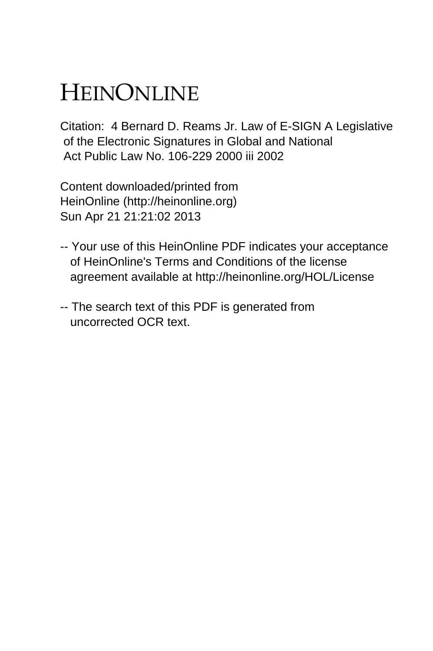## HEINONLINE

Citation: 4 Bernard D. Reams Jr. Law of E-SIGN A Legislative of the Electronic Signatures in Global and National Act Public Law No. 106-229 2000 iii 2002

Content downloaded/printed from HeinOnline (http://heinonline.org) Sun Apr 21 21:21:02 2013

- -- Your use of this HeinOnline PDF indicates your acceptance of HeinOnline's Terms and Conditions of the license agreement available at http://heinonline.org/HOL/License
- -- The search text of this PDF is generated from uncorrected OCR text.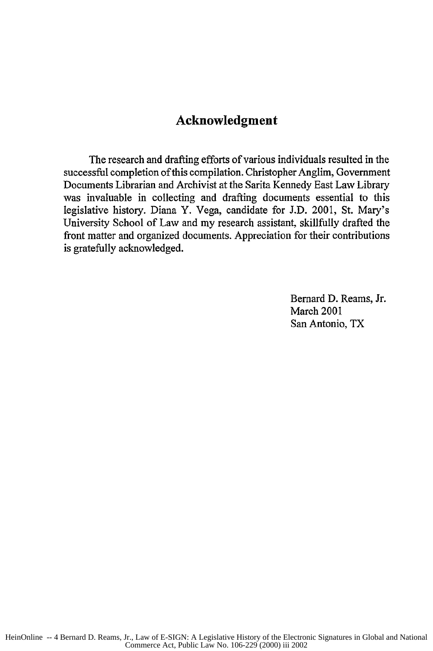## **Acknowledgment**

The research and drafting efforts of various individuals resulted in the successful completion of this compilation. Christopher Anglim, Government Documents Librarian and Archivist at the Sarita Kennedy East Law Library was invaluable in collecting and drafting documents essential to this legislative history. Diana Y. Vega, candidate for **J.D.** 2001, St. Mary's University School of Law and my research assistant, skillfully drafted the front matter and organized documents. Appreciation for their contributions is gratefully acknowledged.

> Bernard **D.** Reams, Jr. March 2001 San Antonio, TX